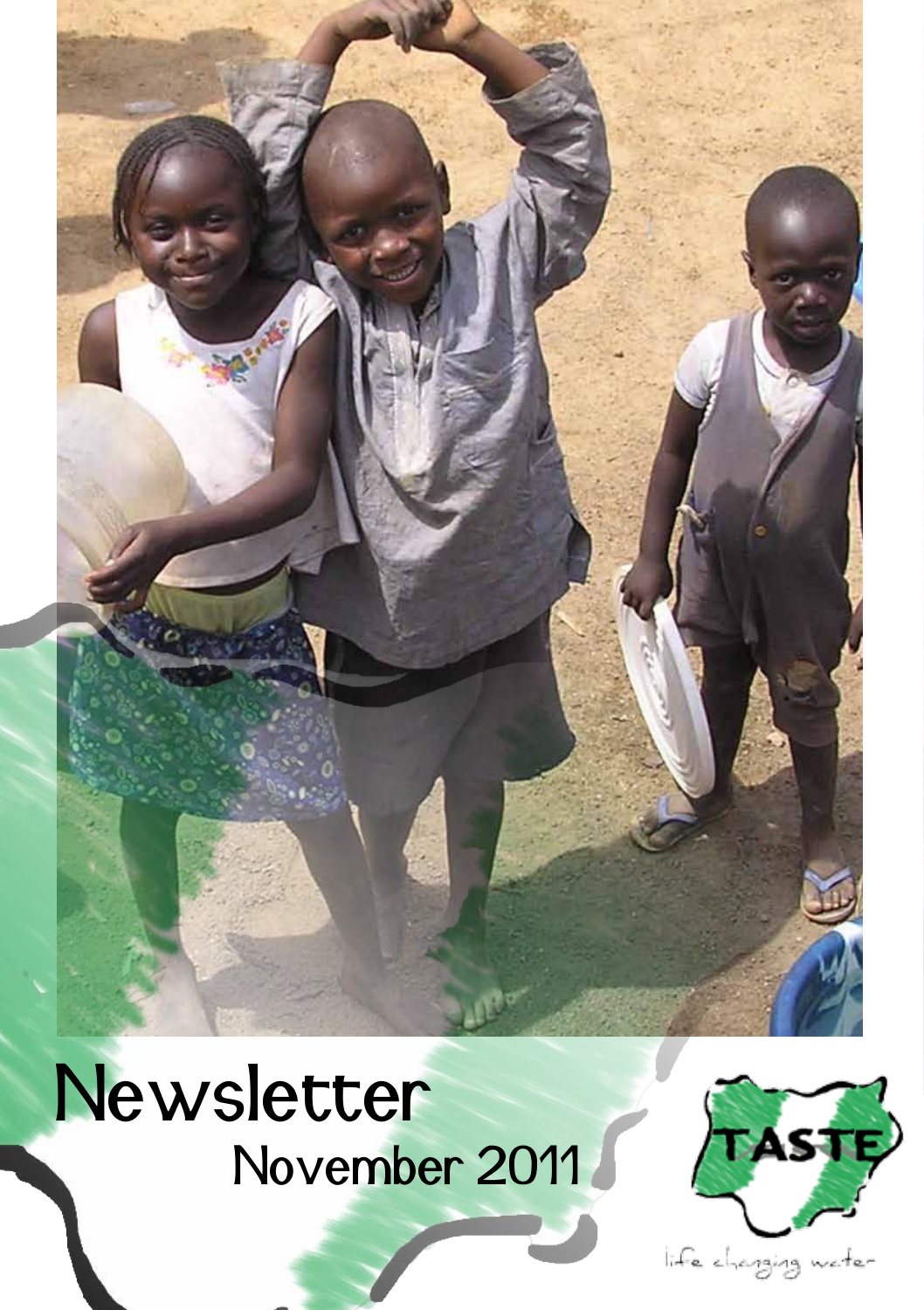# **Newsletter** November 2011



life changing water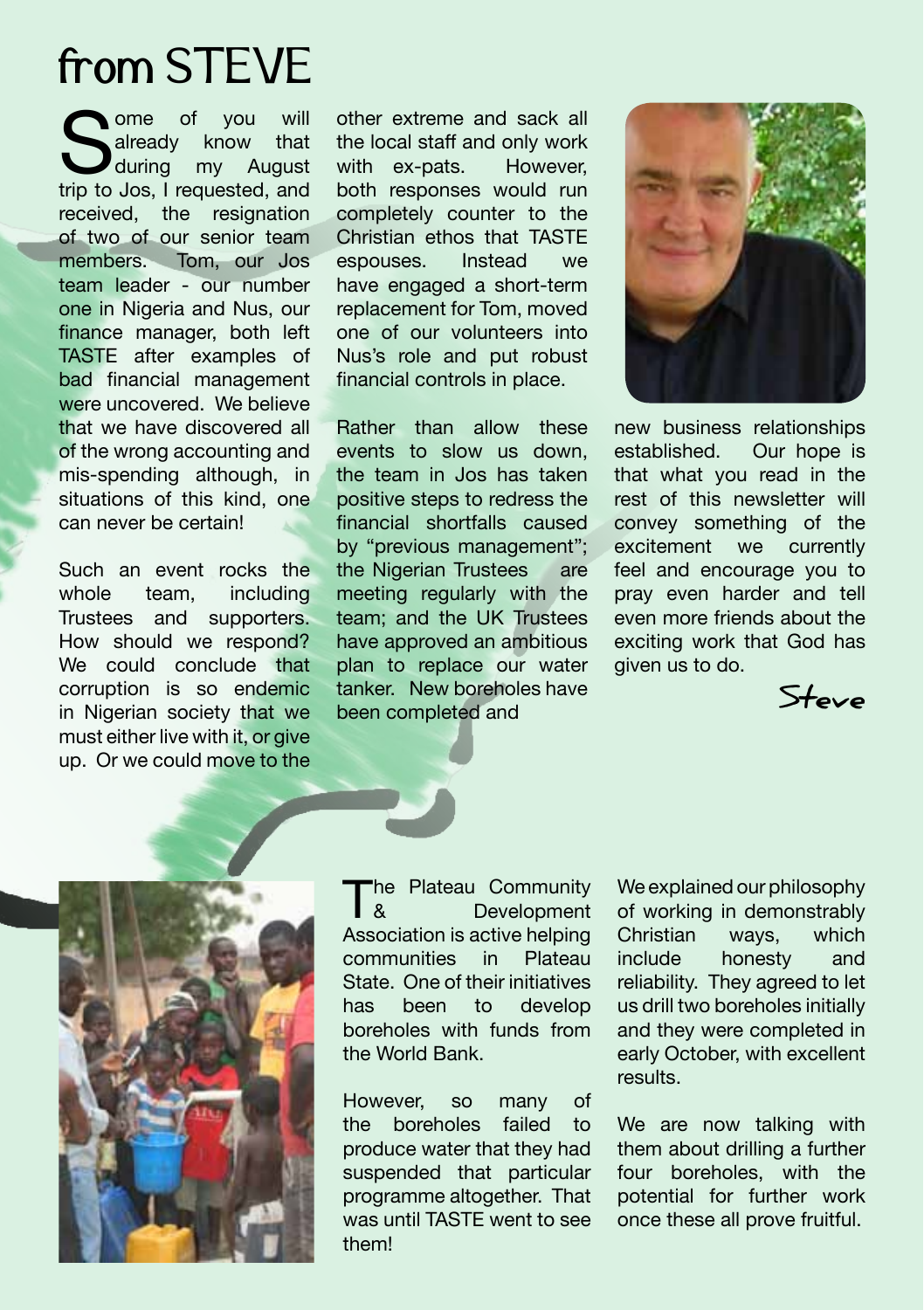### from STEVE

Some of you will already know that during my August trip to Jos, I requested, and already know that<br>during my August  $\blacksquare$ during received, the resignation of two of our senior team members. Tom, our Jos team leader - our number one in Nigeria and Nus, our finance manager, both left TASTE after examples of bad financial management were uncovered. We believe that we have discovered all of the wrong accounting and mis-spending although, in situations of this kind, one can never be certain!

Such an event rocks the whole team, including Trustees and supporters. How should we respond? We could conclude that corruption is so endemic in Nigerian society that we must either live with it, or give up. Or we could move to the

other extreme and sack all the local staff and only work<br>with ex-pats. However. with  $ex$ -pats. both responses would run completely counter to the Christian ethos that TASTE<br>espouses lostead we espouses. Instead we have engaged a short-term replacement for Tom, moved one of our volunteers into Nus's role and put robust financial controls in place.

Rather than allow these events to slow us down, the team in Jos has taken positive steps to redress the financial shortfalls caused by "previous management"; the Nigerian Trustees are meeting regularly with the team; and the UK Trustees have approved an ambitious plan to replace our water tanker. New boreholes have been completed and



new business relationships established. Our hope is that what you read in the rest of this newsletter will convey something of the excitement we currently feel and encourage you to pray even harder and tell even more friends about the exciting work that God has given us to do.





The Plateau Community<br>Development **Development** Association is active helping communities in Plateau State. One of their initiatives has been to develop boreholes with funds from the World Bank.

However, so many of the boreholes failed to produce water that they had suspended that particular programme altogether. That was until TASTE went to see them!

We explained our philosophy of working in demonstrably Christian ways, which include honesty and reliability. They agreed to let us drill two boreholes initially and they were completed in early October, with excellent results.

We are now talking with them about drilling a further four boreholes, with the potential for further work once these all prove fruitful.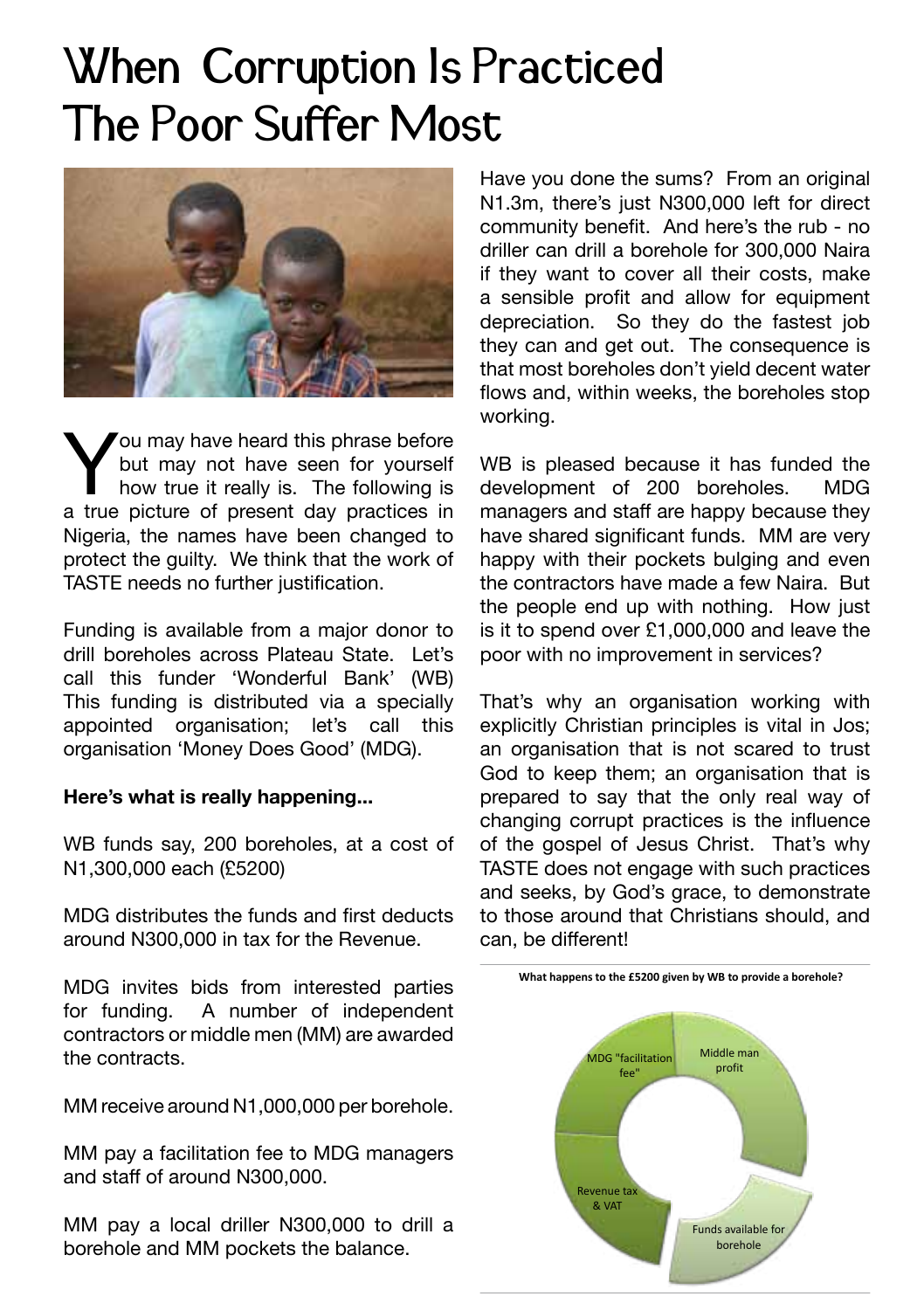### When Corruption Is Practiced The Poor Suffer Most



You may have heard this phrase before<br>but may not have seen for yourself<br>how true it really is. The following is<br>a true picture of present day practices in but may not have seen for yourself how true it really is. The following is a true picture of present day practices in Nigeria, the names have been changed to protect the guilty. We think that the work of TASTE needs no further justification.

Funding is available from a major donor to drill boreholes across Plateau State. Let's call this funder 'Wonderful Bank' (WB) This funding is distributed via a specially appointed organisation; let's call this organisation 'Money Does Good' (MDG).

#### **Here's what is really happening...**

WB funds say, 200 boreholes, at a cost of N1,300,000 each (£5200)

MDG distributes the funds and first deducts around N300,000 in tax for the Revenue.

MDG invites bids from interested parties for funding. A number of independent contractors or middle men (MM) are awarded the contracts.

MM receive around N1,000,000 per borehole.

MM pay a facilitation fee to MDG managers and staff of around N300,000.

MM pay a local driller N300,000 to drill a borehole and MM pockets the balance.

Have you done the sums? From an original N1.3m, there's just N300,000 left for direct community benefit. And here's the rub - no driller can drill a borehole for 300,000 Naira if they want to cover all their costs, make a sensible profit and allow for equipment depreciation. So they do the fastest job they can and get out. The consequence is that most boreholes don't yield decent water flows and, within weeks, the boreholes stop working.

WB is pleased because it has funded the development of 200 boreholes. MDG managers and staff are happy because they have shared significant funds. MM are very happy with their pockets bulging and even the contractors have made a few Naira. But the people end up with nothing. How just is it to spend over £1,000,000 and leave the poor with no improvement in services?

That's why an organisation working with explicitly Christian principles is vital in Jos; an organisation that is not scared to trust God to keep them; an organisation that is prepared to say that the only real way of changing corrupt practices is the influence of the gospel of Jesus Christ. That's why TASTE does not engage with such practices and seeks, by God's grace, to demonstrate to those around that Christians should, and can, be different!

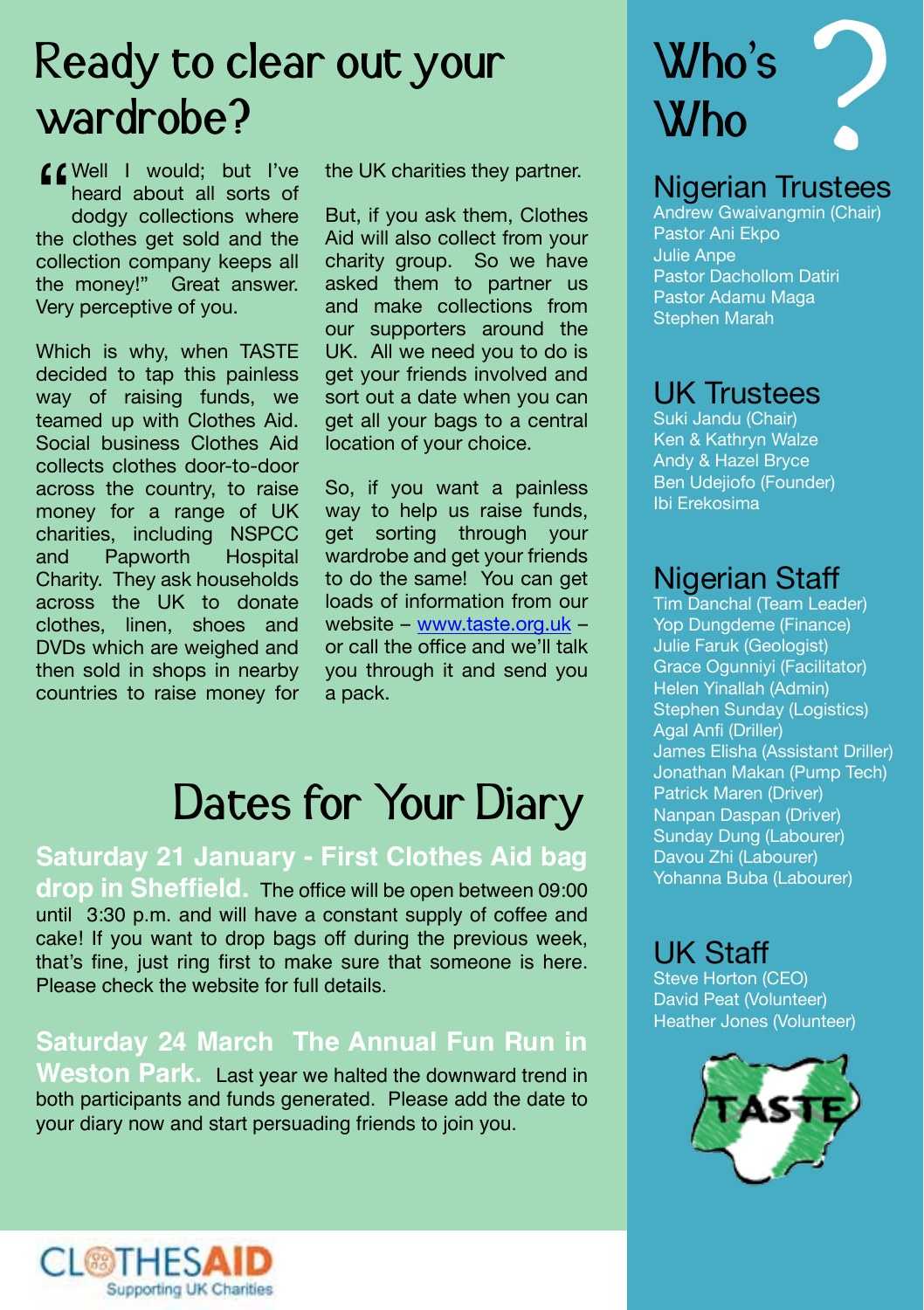### Ready to clear out your wardrobe?

COWELL I would; but I've heard about all sorts of dodgy collections where the clothes get sold and the heard about all sorts of dodgy collections where the clothes get sold and the collection company keeps all the money!" Great answer. Very perceptive of you.

Which is why, when TASTE decided to tap this painless way of raising funds, we teamed up with Clothes Aid. Social business Clothes Aid collects clothes door-to-door across the country, to raise money for a range of UK charities, including NSPCC and Papworth Charity. They ask households across the UK to donate clothes, linen, shoes and DVDs which are weighed and then sold in shops in nearby countries to raise money for

the UK charities they partner.

But, if you ask them, Clothes Aid will also collect from your charity group. So we have asked them to partner us and make collections from our supporters around the UK. All we need you to do is get your friends involved and sort out a date when you can get all your bags to a central location of your choice.

So, if you want a painless way to help us raise funds. get sorting through your wardrobe and get your friends to do the same! You can get loads of information from our website – www.taste.org.uk – or call the office and we'll talk you through it and send you a pack.

### Dates for Your Diary

**Saturday 21 January - First Clothes Aid bag drop in Sheffield.** The office will be open between 09:00 until 3:30 p.m. and will have a constant supply of coffee and cake! If you want to drop bags off during the previous week, that's fine, just ring first to make sure that someone is here. Please check the website for full details.

**Saturday 24 March The Annual Fun Run in Weston Park.** Last year we halted the downward trend in both participants and funds generated. Please add the date to your diary now and start persuading friends to join you.



#### Nigerian Trustees

Andrew Gwaivangmin (Chair) Pastor Ani Ekpo Julie Anpe Pastor Dachollom Datiri Pastor Adamu Maga Stephen Marah

#### UK Trustees

Suki Jandu (Chair) Ken & Kathryn Walze Andy & Hazel Bryce Ben Udejiofo (Founder) Ibi Erekosima

### Nigerian Staff

Tim Danchal (Team Leader) Yop Dungdeme (Finance) Julie Faruk (Geologist) Grace Ogunniyi (Facilitator) Helen Yinallah (Admin) Stephen Sunday (Logistics) Agal Anfi (Driller) James Elisha (Assistant Driller) Jonathan Makan (Pump Tech) Patrick Maren (Driver) Nanpan Daspan (Driver) Sunday Dung (Labourer) Davou Zhi (Labourer) Yohanna Buba (Labourer)

#### UK Staff

Steve Horton (CEO) David Peat (Volunteer) Heather Jones (Volunteer)



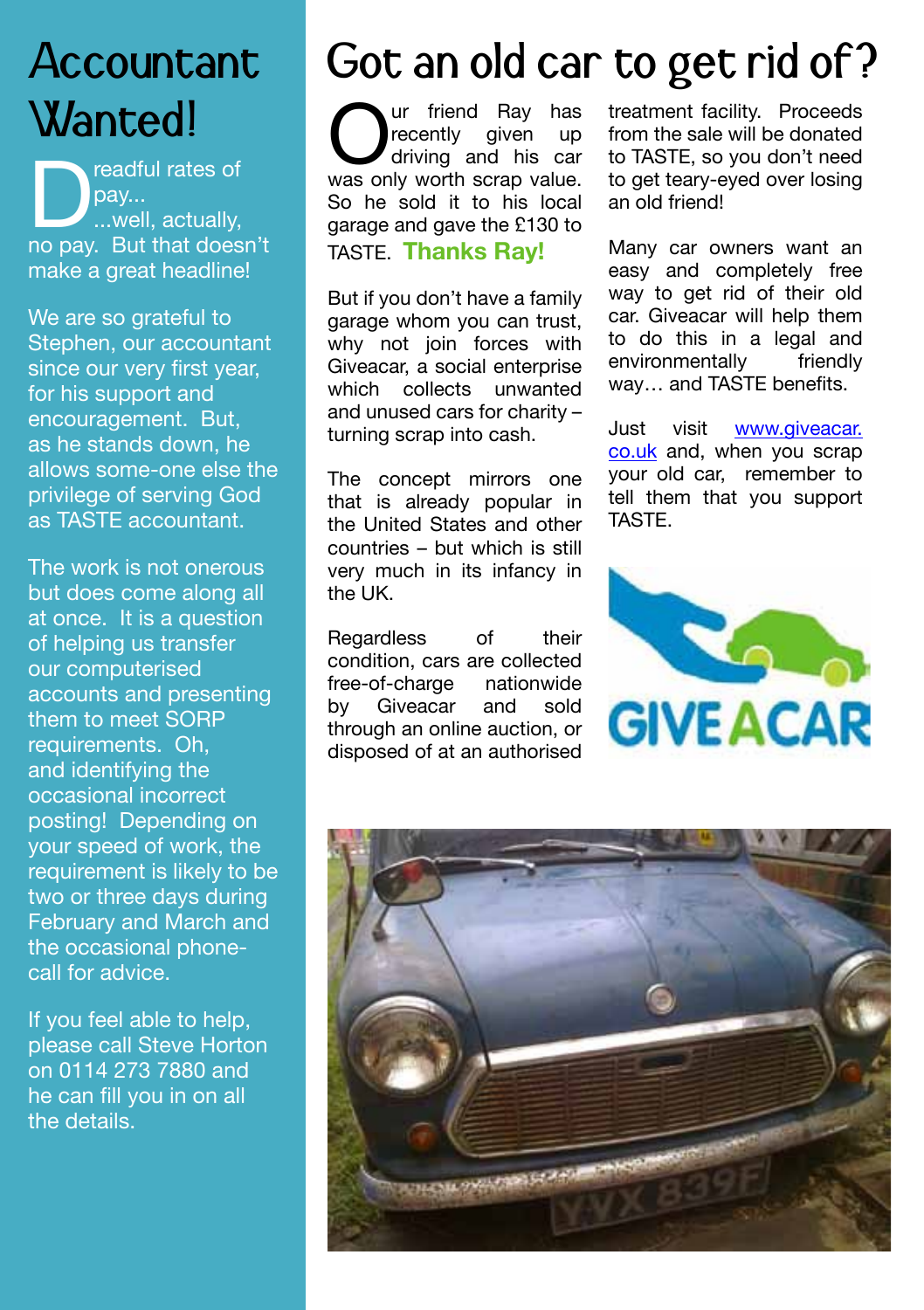### Accountant Wanted!

pay...<br>
pay...<br>
no pay. But that doesn't pay... ...well, actually, make a great headline!

We are so grateful to Stephen, our accountant since our very first year, for his support and encouragement. But, as he stands down, he allows some-one else the privilege of serving God as TASTE accountant.

The work is not onerous but does come along all at once. It is a question of helping us transfer our computerised accounts and presenting them to meet SORP requirements. Oh, and identifying the occasional incorrect posting! Depending on your speed of work, the requirement is likely to be two or three days during February and March and the occasional phonecall for advice.

If you feel able to help, please call Steve Horton on 0114 273 7880 and he can fill you in on all the details.

## Got an old car to get rid of?

**Our** friend Ray has recently given up driving and his car was only worth scrap value. recently given up driving and his car So he sold it to his local garage and gave the £130 to TASTE. **Thanks Ray!**

But if you don't have a family garage whom you can trust, why not join forces with Giveacar, a social enterprise which collects unwanted and unused cars for charity – turning scrap into cash.

The concept mirrors one that is already popular in the United States and other countries – but which is still very much in its infancy in the UK.

Regardless of their condition, cars are collected<br>free-of-charge nationwide free-of-charge nation by Giveacar and sold through an online auction, or disposed of at an authorised

treatment facility. Proceeds from the sale will be donated to TASTE, so you don't need to get teary-eyed over losing an old friend!

Many car owners want an easy and completely free way to get rid of their old car. Giveacar will help them to do this in a legal and environmentally friendly way… and TASTE benefits.

Just visit www.giveacar. co.uk and, when you scrap your old car, remember to tell them that you support **TASTE**